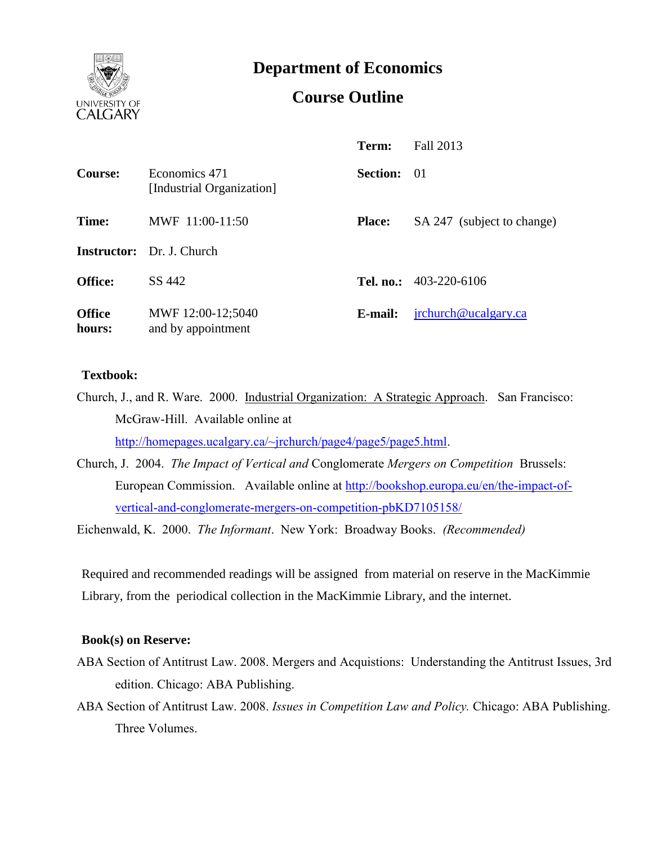

**Department of Economics**

# **Course Outline**

|                         |                                            | Term:           | Fall 2013                  |
|-------------------------|--------------------------------------------|-----------------|----------------------------|
| Course:                 | Economics 471<br>[Industrial Organization] | <b>Section:</b> | -01                        |
| Time:                   | MWF 11:00-11:50                            | <b>Place:</b>   | SA 247 (subject to change) |
|                         | <b>Instructor:</b> Dr. J. Church           |                 |                            |
| <b>Office:</b>          | SS 442                                     |                 | Tel. no.: $403-220-6106$   |
| <b>Office</b><br>hours: | MWF 12:00-12;5040<br>and by appointment    | E-mail:         | jrchurch@ucalgary.ca       |

## **Textbook:**

Church, J., and R. Ware. 2000. Industrial Organization: A Strategic Approach. San Francisco: McGraw-Hill. Available online at [http://homepages.ucalgary.ca/~jrchurch/page4/page5/page5.html.](http://homepages.ucalgary.ca/~jrchurch/page4/page5/page5.html)

Church, J. 2004. *The Impact of Vertical and* Conglomerate *Mergers on Competition* Brussels: European Commission. Available online at http://bookshop.europa.eu/en/the-impact-ofvertical-and-conglomerate-mergers-on-competition-pbKD7105158/

Eichenwald, K. 2000. *The Informant*. New York: Broadway Books. *(Recommended)*

Required and recommended readings will be assigned from material on reserve in the MacKimmie Library, from the periodical collection in the MacKimmie Library, and the internet.

## **Book(s) on Reserve:**

- ABA Section of Antitrust Law. 2008. Mergers and Acquistions: Understanding the Antitrust Issues, 3rd edition. Chicago: ABA Publishing.
- ABA Section of Antitrust Law. 2008. *Issues in Competition Law and Policy.* Chicago: ABA Publishing. Three Volumes.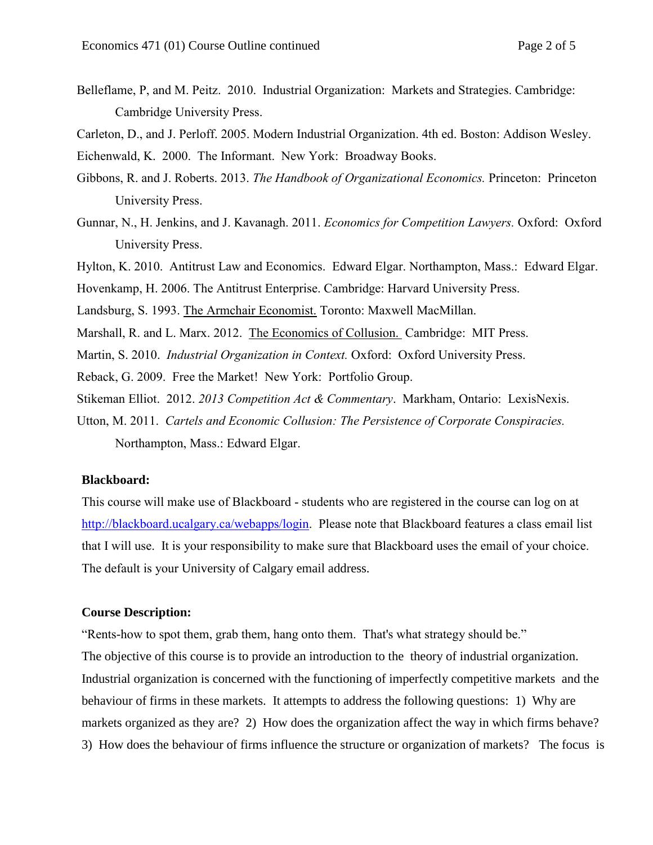Belleflame, P, and M. Peitz. 2010. Industrial Organization: Markets and Strategies. Cambridge: Cambridge University Press.

Carleton, D., and J. Perloff. 2005. Modern Industrial Organization. 4th ed. Boston: Addison Wesley.

Eichenwald, K. 2000. The Informant. New York: Broadway Books.

- Gibbons, R. and J. Roberts. 2013. *The Handbook of Organizational Economics.* Princeton: Princeton University Press.
- Gunnar, N., H. Jenkins, and J. Kavanagh. 2011. *Economics for Competition Lawyers.* Oxford: Oxford University Press.
- Hylton, K. 2010. Antitrust Law and Economics. Edward Elgar. Northampton, Mass.: Edward Elgar.

Hovenkamp, H. 2006. The Antitrust Enterprise. Cambridge: Harvard University Press.

- Landsburg, S. 1993. The Armchair Economist. Toronto: Maxwell MacMillan.
- Marshall, R. and L. Marx. 2012. The Economics of Collusion. Cambridge: MIT Press.
- Martin, S. 2010. *Industrial Organization in Context.* Oxford: Oxford University Press.

Reback, G. 2009. Free the Market! New York: Portfolio Group.

- Stikeman Elliot. 2012. *2013 Competition Act & Commentary*. Markham, Ontario: LexisNexis.
- Utton, M. 2011. *Cartels and Economic Collusion: The Persistence of Corporate Conspiracies.*  Northampton, Mass.: Edward Elgar.

#### **Blackboard:**

This course will make use of Blackboard - students who are registered in the course can log on at [http://blackboard.ucalgary.ca/webapps/login.](http://blackboard.ucalgary.ca/webapps/login) Please note that Blackboard features a class email list that I will use. It is your responsibility to make sure that Blackboard uses the email of your choice. The default is your University of Calgary email address.

## **Course Description:**

"Rents-how to spot them, grab them, hang onto them. That's what strategy should be." The objective of this course is to provide an introduction to the theory of industrial organization. Industrial organization is concerned with the functioning of imperfectly competitive markets and the behaviour of firms in these markets. It attempts to address the following questions: 1) Why are markets organized as they are? 2) How does the organization affect the way in which firms behave? 3) How does the behaviour of firms influence the structure or organization of markets? The focus is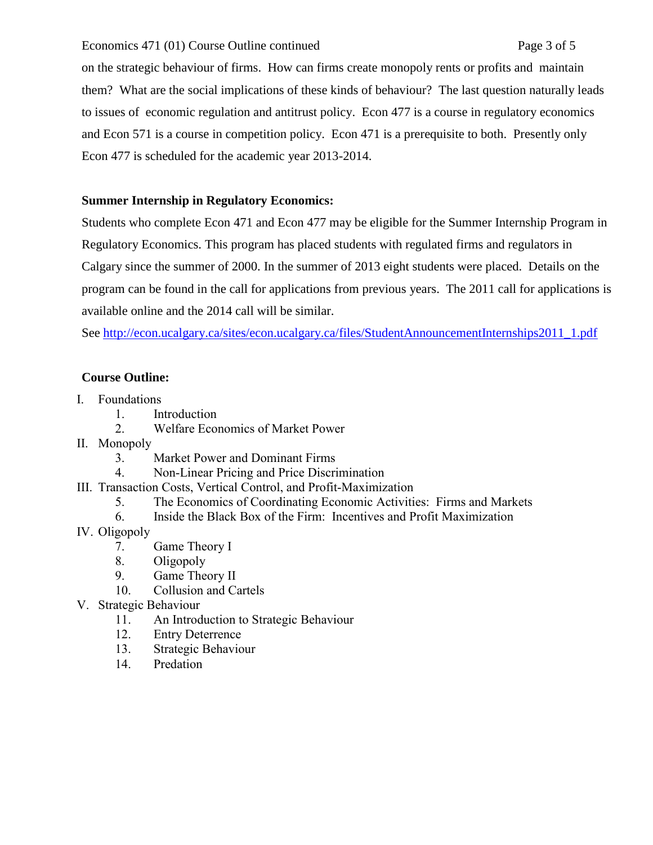## Economics 471 (01) Course Outline continued Page 3 of 5

on the strategic behaviour of firms. How can firms create monopoly rents or profits and maintain them? What are the social implications of these kinds of behaviour? The last question naturally leads to issues of economic regulation and antitrust policy. Econ 477 is a course in regulatory economics and Econ 571 is a course in competition policy. Econ 471 is a prerequisite to both. Presently only Econ 477 is scheduled for the academic year 2013-2014.

# **Summer Internship in Regulatory Economics:**

Students who complete Econ 471 and Econ 477 may be eligible for the Summer Internship Program in Regulatory Economics. This program has placed students with regulated firms and regulators in Calgary since the summer of 2000. In the summer of 2013 eight students were placed. Details on the program can be found in the call for applications from previous years. The 2011 call for applications is available online and the 2014 call will be similar.

See http://econ.ucalgary.ca/sites/econ.ucalgary.ca/files/StudentAnnouncementInternships2011\_1.pdf

# **Course Outline:**

- I. Foundations
	- 1. Introduction
	- 2. Welfare Economics of Market Power
- II. Monopoly
	- 3. Market Power and Dominant Firms
	- 4. Non-Linear Pricing and Price Discrimination
- III. Transaction Costs, Vertical Control, and Profit-Maximization
	- 5. The Economics of Coordinating Economic Activities: Firms and Markets
	- 6. Inside the Black Box of the Firm: Incentives and Profit Maximization
- IV. Oligopoly
	- 7. Game Theory I
	- 8. Oligopoly
	- 9. Game Theory II
	- 10. Collusion and Cartels
- V. Strategic Behaviour
	- 11. An Introduction to Strategic Behaviour
	- 12. Entry Deterrence
	- 13. Strategic Behaviour
	- 14. Predation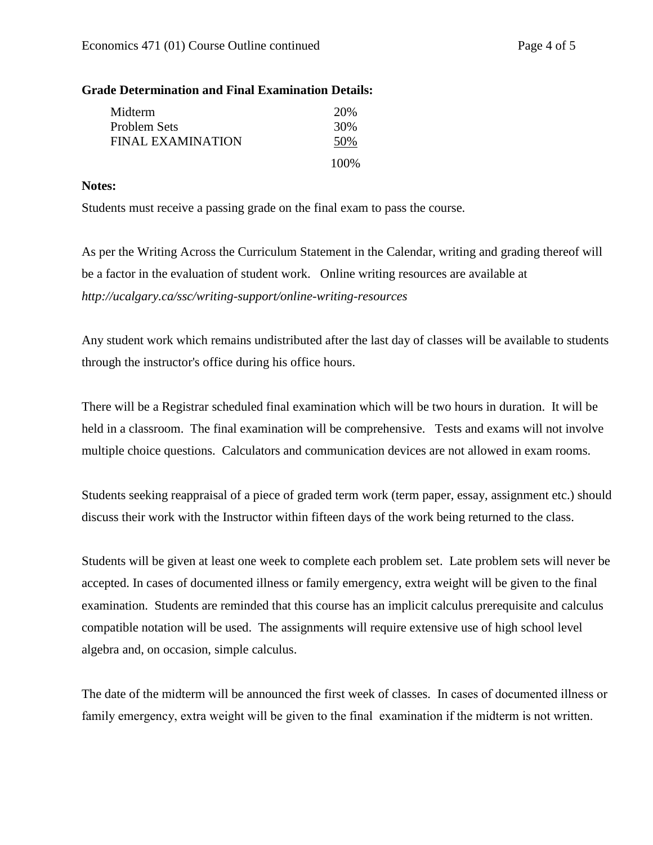## **Grade Determination and Final Examination Details:**

| Midterm           | 20\%  |
|-------------------|-------|
| Problem Sets      | 30%   |
| FINAL EXAMINATION | 50%   |
|                   | 100\% |

## **Notes:**

Students must receive a passing grade on the final exam to pass the course.

As per the Writing Across the Curriculum Statement in the Calendar, writing and grading thereof will be a factor in the evaluation of student work. Online writing resources are available at *http://ucalgary.ca/ssc/writing-support/online-writing-resources*

Any student work which remains undistributed after the last day of classes will be available to students through the instructor's office during his office hours.

There will be a Registrar scheduled final examination which will be two hours in duration. It will be held in a classroom. The final examination will be comprehensive. Tests and exams will not involve multiple choice questions. Calculators and communication devices are not allowed in exam rooms.

Students seeking reappraisal of a piece of graded term work (term paper, essay, assignment etc.) should discuss their work with the Instructor within fifteen days of the work being returned to the class.

Students will be given at least one week to complete each problem set. Late problem sets will never be accepted. In cases of documented illness or family emergency, extra weight will be given to the final examination. Students are reminded that this course has an implicit calculus prerequisite and calculus compatible notation will be used. The assignments will require extensive use of high school level algebra and, on occasion, simple calculus.

The date of the midterm will be announced the first week of classes. In cases of documented illness or family emergency, extra weight will be given to the final examination if the midterm is not written.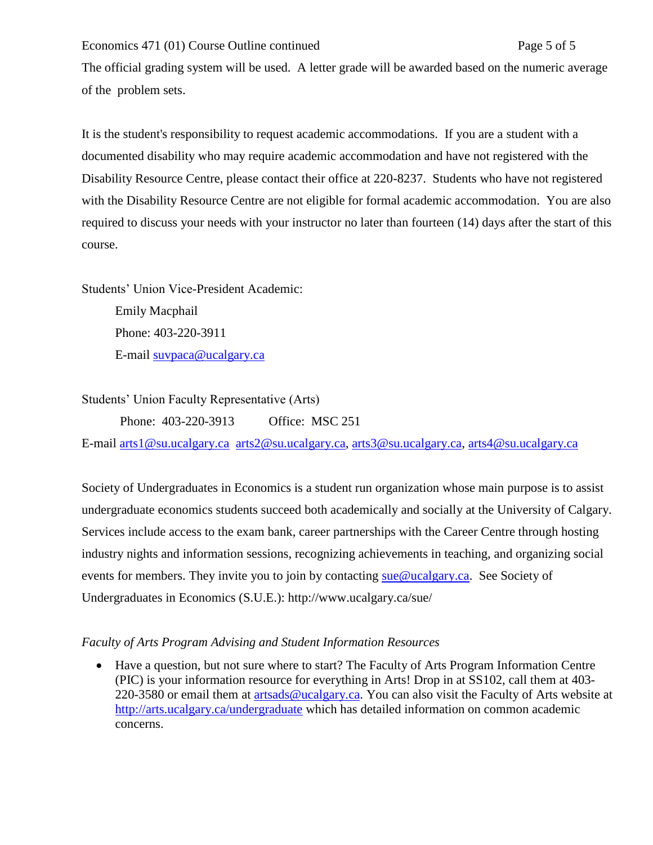Economics 471 (01) Course Outline continued Page 5 of 5

The official grading system will be used. A letter grade will be awarded based on the numeric average of the problem sets.

It is the student's responsibility to request academic accommodations. If you are a student with a documented disability who may require academic accommodation and have not registered with the Disability Resource Centre, please contact their office at 220-8237. Students who have not registered with the Disability Resource Centre are not eligible for formal academic accommodation. You are also required to discuss your needs with your instructor no later than fourteen (14) days after the start of this course.

Students' Union Vice-President Academic: Emily Macphail Phone: 403-220-3911 E-mail [suvpaca@ucalgary.ca](mailto:subpaca@ucalgary.ca)

Students' Union Faculty Representative (Arts)

Phone: 403-220-3913 Office: MSC 251

E-mail [arts1@su.ucalgary.ca](mailto:arts1@su.ucalgary.ca) [arts2@su.ucalgary.ca,](mailto:arts2@su.ucalgary.ca) [arts3@su.ucalgary.ca,](mailto:arts3@su.ucalgary.ca) [arts4@su.ucalgary.ca](mailto:arts4@su.ucalgary.ca)

Society of Undergraduates in Economics is a student run organization whose main purpose is to assist undergraduate economics students succeed both academically and socially at the University of Calgary. Services include access to the exam bank, career partnerships with the Career Centre through hosting industry nights and information sessions, recognizing achievements in teaching, and organizing social events for members. They invite you to join by contacting [sue@ucalgary.ca.](mailto:sue@ucalgary.ca) See Society of Undergraduates in Economics (S.U.E.): http://www.ucalgary.ca/sue/

*Faculty of Arts Program Advising and Student Information Resources*

 Have a question, but not sure where to start? The Faculty of Arts Program Information Centre (PIC) is your information resource for everything in Arts! Drop in at SS102, call them at 403 220-3580 or email them at [artsads@ucalgary.ca.](mailto:artsads@ucalgary.ca) You can also visit the Faculty of Arts website at <http://arts.ucalgary.ca/undergraduate> which has detailed information on common academic concerns.